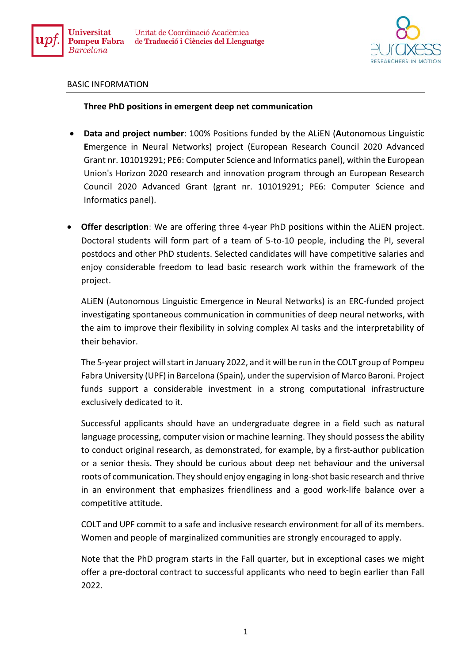



## BASIC INFORMATION

## **Three PhD positions in emergent deep net communication**

- **Data and project number**: 100% Positions funded by the ALiEN (**A**utonomous **Li**nguistic **E**mergence in **N**eural Networks) project (European Research Council 2020 Advanced Grant nr. 101019291; PE6: Computer Science and Informatics panel), within the European Union's Horizon 2020 research and innovation program through an European Research Council 2020 Advanced Grant (grant nr. 101019291; PE6: Computer Science and Informatics panel).
- **Offer description**: We are offering three 4-year PhD positions within the ALIEN project. Doctoral students will form part of a team of 5-to-10 people, including the PI, several postdocs and other PhD students. Selected candidates will have competitive salaries and enjoy considerable freedom to lead basic research work within the framework of the project.

ALiEN (Autonomous Linguistic Emergence in Neural Networks) is an ERC-funded project investigating spontaneous communication in communities of deep neural networks, with the aim to improve their flexibility in solving complex AI tasks and the interpretability of their behavior.

The 5-year project will start in January 2022, and it will be run in the COLT group of Pompeu Fabra University (UPF) in Barcelona (Spain), under the supervision of Marco Baroni. Project funds support a considerable investment in a strong computational infrastructure exclusively dedicated to it.

Successful applicants should have an undergraduate degree in a field such as natural language processing, computer vision or machine learning. They should possess the ability to conduct original research, as demonstrated, for example, by a first-author publication or a senior thesis. They should be curious about deep net behaviour and the universal roots of communication. They should enjoy engaging in long-shot basic research and thrive in an environment that emphasizes friendliness and a good work-life balance over a competitive attitude.

COLT and UPF commit to a safe and inclusive research environment for all of its members. Women and people of marginalized communities are strongly encouraged to apply.

Note that the PhD program starts in the Fall quarter, but in exceptional cases we might offer a pre-doctoral contract to successful applicants who need to begin earlier than Fall 2022.